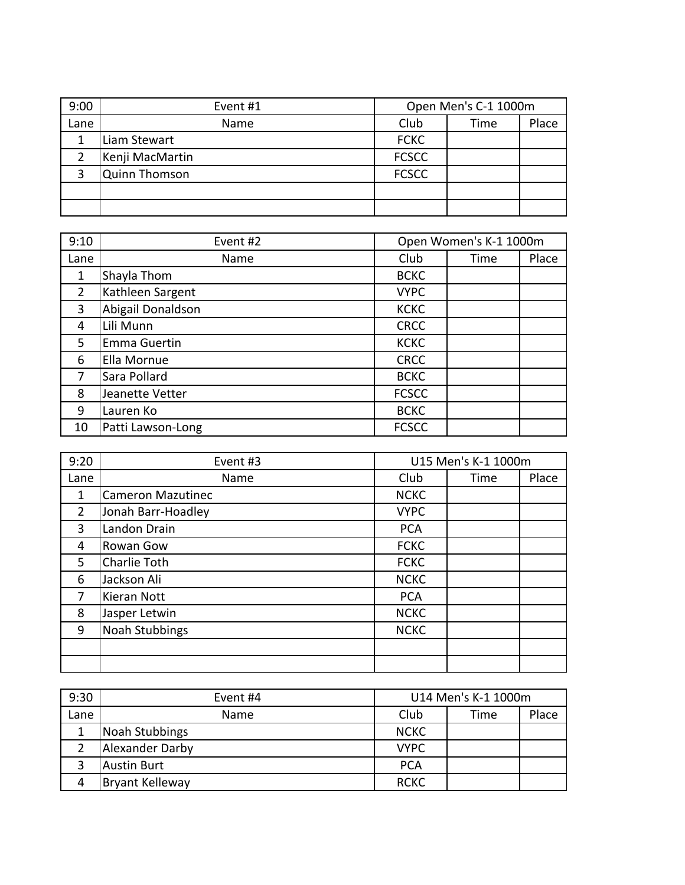| 9:00 | Event #1             | Open Men's C-1 1000m |      |       |
|------|----------------------|----------------------|------|-------|
| Lane | Name                 | Club                 | Time | Place |
|      | Liam Stewart         | <b>FCKC</b>          |      |       |
|      | Kenji MacMartin      | <b>FCSCC</b>         |      |       |
|      | <b>Quinn Thomson</b> | <b>FCSCC</b>         |      |       |
|      |                      |                      |      |       |
|      |                      |                      |      |       |

| 9:10           | Event #2          |              | Open Women's K-1 1000m |       |
|----------------|-------------------|--------------|------------------------|-------|
| Lane           | Name              | Club         | Time                   | Place |
| $\mathbf{1}$   | Shayla Thom       | <b>BCKC</b>  |                        |       |
| $\overline{2}$ | Kathleen Sargent  | <b>VYPC</b>  |                        |       |
| 3              | Abigail Donaldson | <b>KCKC</b>  |                        |       |
| 4              | Lili Munn         | <b>CRCC</b>  |                        |       |
| 5.             | Emma Guertin      | <b>KCKC</b>  |                        |       |
| 6              | Ella Mornue       | <b>CRCC</b>  |                        |       |
| 7              | Sara Pollard      | <b>BCKC</b>  |                        |       |
| 8              | Jeanette Vetter   | <b>FCSCC</b> |                        |       |
| 9              | Lauren Ko         | <b>BCKC</b>  |                        |       |
| 10             | Patti Lawson-Long | <b>FCSCC</b> |                        |       |

| 9:20 | Event #3                 |             | U15 Men's K-1 1000m |       |
|------|--------------------------|-------------|---------------------|-------|
| Lane | Name                     | Club        | Time                | Place |
| 1    | <b>Cameron Mazutinec</b> | <b>NCKC</b> |                     |       |
| 2    | Jonah Barr-Hoadley       | <b>VYPC</b> |                     |       |
| 3    | Landon Drain             | <b>PCA</b>  |                     |       |
| 4    | Rowan Gow                | <b>FCKC</b> |                     |       |
| 5    | Charlie Toth             | <b>FCKC</b> |                     |       |
| 6    | Jackson Ali              | <b>NCKC</b> |                     |       |
| 7    | Kieran Nott              | <b>PCA</b>  |                     |       |
| 8    | Jasper Letwin            | <b>NCKC</b> |                     |       |
| 9    | Noah Stubbings           | <b>NCKC</b> |                     |       |
|      |                          |             |                     |       |
|      |                          |             |                     |       |

| 9:30 | Event #4        | U14 Men's K-1 1000m |      |       |
|------|-----------------|---------------------|------|-------|
| Lane | Name            | Club                | Time | Place |
|      | Noah Stubbings  | <b>NCKC</b>         |      |       |
|      | Alexander Darby | <b>VYPC</b>         |      |       |
|      | Austin Burt     | <b>PCA</b>          |      |       |
| 4    | Bryant Kelleway | <b>RCKC</b>         |      |       |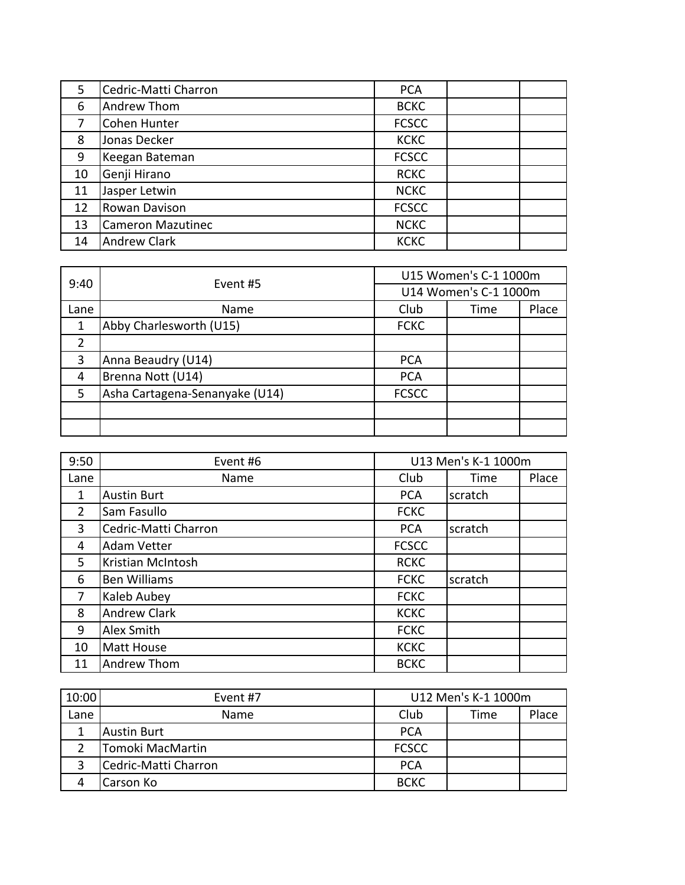| 5. | Cedric-Matti Charron | <b>PCA</b>   |  |
|----|----------------------|--------------|--|
| 6  | Andrew Thom          | <b>BCKC</b>  |  |
| 7  | <b>Cohen Hunter</b>  | <b>FCSCC</b> |  |
| 8  | Jonas Decker         | <b>KCKC</b>  |  |
| 9  | Keegan Bateman       | <b>FCSCC</b> |  |
| 10 | Genji Hirano         | <b>RCKC</b>  |  |
| 11 | Jasper Letwin        | <b>NCKC</b>  |  |
| 12 | Rowan Davison        | <b>FCSCC</b> |  |
| 13 | Cameron Mazutinec    | <b>NCKC</b>  |  |
| 14 | Andrew Clark         | <b>KCKC</b>  |  |

| 9:40           | Event #5                       |              |                                                                 |  |
|----------------|--------------------------------|--------------|-----------------------------------------------------------------|--|
|                |                                |              | U15 Women's C-1 1000m<br>U14 Women's C-1 1000m<br>Place<br>Time |  |
| Lane           | <b>Name</b>                    | Club         |                                                                 |  |
|                | Abby Charlesworth (U15)        | <b>FCKC</b>  |                                                                 |  |
| $\overline{2}$ |                                |              |                                                                 |  |
| 3              | Anna Beaudry (U14)             | <b>PCA</b>   |                                                                 |  |
| 4              | Brenna Nott (U14)              | <b>PCA</b>   |                                                                 |  |
| 5              | Asha Cartagena-Senanyake (U14) | <b>FCSCC</b> |                                                                 |  |
|                |                                |              |                                                                 |  |
|                |                                |              |                                                                 |  |

| 9:50           | Event #6             |              | U13 Men's K-1 1000m |       |
|----------------|----------------------|--------------|---------------------|-------|
| Lane           | Name                 | Club         | Time                | Place |
| 1              | <b>Austin Burt</b>   | <b>PCA</b>   | scratch             |       |
| $\overline{2}$ | Sam Fasullo          | <b>FCKC</b>  |                     |       |
| 3              | Cedric-Matti Charron | <b>PCA</b>   | scratch             |       |
| 4              | <b>Adam Vetter</b>   | <b>FCSCC</b> |                     |       |
| 5              | Kristian McIntosh    | <b>RCKC</b>  |                     |       |
| 6              | <b>Ben Williams</b>  | <b>FCKC</b>  | scratch             |       |
| $\overline{7}$ | Kaleb Aubey          | <b>FCKC</b>  |                     |       |
| 8              | <b>Andrew Clark</b>  | <b>KCKC</b>  |                     |       |
| 9              | Alex Smith           | <b>FCKC</b>  |                     |       |
| 10             | Matt House           | <b>KCKC</b>  |                     |       |
| 11             | Andrew Thom          | <b>BCKC</b>  |                     |       |

| 10:00 | Event #7             | U12 Men's K-1 1000m |      |       |
|-------|----------------------|---------------------|------|-------|
| Lane  | Name                 | Club                | Time | Place |
|       | <b>Austin Burt</b>   | <b>PCA</b>          |      |       |
|       | Tomoki MacMartin     | <b>FCSCC</b>        |      |       |
|       | Cedric-Matti Charron | <b>PCA</b>          |      |       |
|       | Carson Ko            | <b>BCKC</b>         |      |       |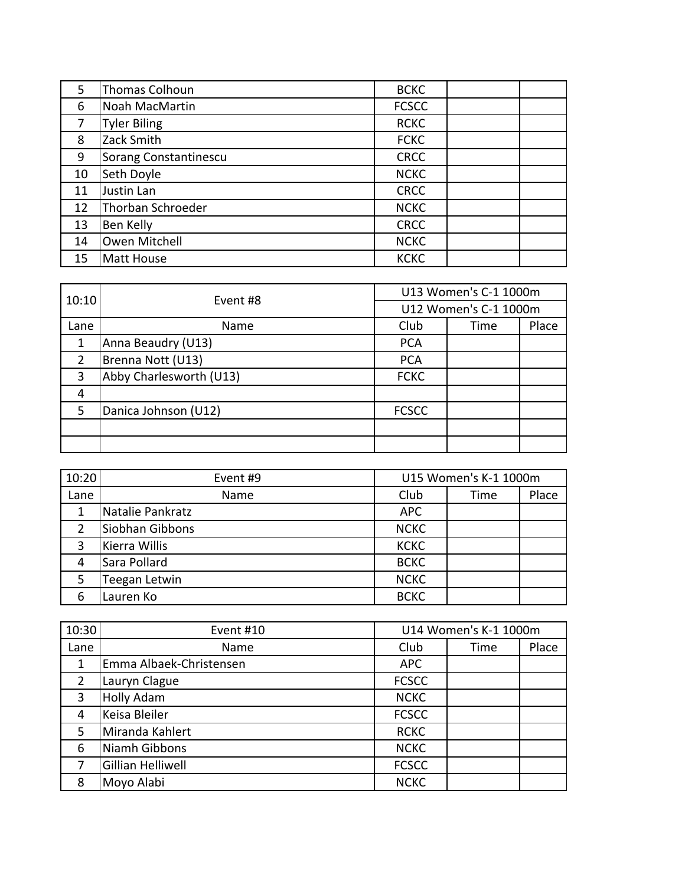| 5  | Thomas Colhoun        | <b>BCKC</b>  |  |
|----|-----------------------|--------------|--|
| 6  | Noah MacMartin        | <b>FCSCC</b> |  |
| 7  | <b>Tyler Biling</b>   | <b>RCKC</b>  |  |
| 8  | Zack Smith            | <b>FCKC</b>  |  |
| 9  | Sorang Constantinescu | <b>CRCC</b>  |  |
| 10 | Seth Doyle            | <b>NCKC</b>  |  |
| 11 | Justin Lan            | <b>CRCC</b>  |  |
| 12 | Thorban Schroeder     | <b>NCKC</b>  |  |
| 13 | Ben Kelly             | <b>CRCC</b>  |  |
| 14 | Owen Mitchell         | <b>NCKC</b>  |  |
| 15 | <b>Matt House</b>     | <b>KCKC</b>  |  |

| 10:10         | Event #8                |              |                                                                 |  |
|---------------|-------------------------|--------------|-----------------------------------------------------------------|--|
|               |                         |              | U13 Women's C-1 1000m<br>U12 Women's C-1 1000m<br>Place<br>Time |  |
| Lane          | Name                    | Club         |                                                                 |  |
|               | Anna Beaudry (U13)      | <b>PCA</b>   |                                                                 |  |
| $\mathcal{P}$ | Brenna Nott (U13)       | <b>PCA</b>   |                                                                 |  |
| 3             | Abby Charlesworth (U13) | <b>FCKC</b>  |                                                                 |  |
| 4             |                         |              |                                                                 |  |
| 5             | Danica Johnson (U12)    | <b>FCSCC</b> |                                                                 |  |
|               |                         |              |                                                                 |  |
|               |                         |              |                                                                 |  |

| 10:20         | Event #9         | U15 Women's K-1 1000m |      |       |
|---------------|------------------|-----------------------|------|-------|
| Lane          | Name             | Club                  | Time | Place |
|               | Natalie Pankratz | <b>APC</b>            |      |       |
| $\mathcal{P}$ | Siobhan Gibbons  | <b>NCKC</b>           |      |       |
| 3             | Kierra Willis    | <b>KCKC</b>           |      |       |
| 4             | Sara Pollard     | <b>BCKC</b>           |      |       |
| 5             | Teegan Letwin    | <b>NCKC</b>           |      |       |
| 6             | Lauren Ko        | <b>BCKC</b>           |      |       |

| 10:30          | Event #10               |              | U14 Women's K-1 1000m |       |
|----------------|-------------------------|--------------|-----------------------|-------|
| Lane           | Name                    | Club         | Time                  | Place |
| 1              | Emma Albaek-Christensen | <b>APC</b>   |                       |       |
| 2              | Lauryn Clague           | <b>FCSCC</b> |                       |       |
| 3              | <b>Holly Adam</b>       | <b>NCKC</b>  |                       |       |
| $\overline{4}$ | Keisa Bleiler           | <b>FCSCC</b> |                       |       |
| 5              | Miranda Kahlert         | <b>RCKC</b>  |                       |       |
| 6              | Niamh Gibbons           | <b>NCKC</b>  |                       |       |
| 7              | Gillian Helliwell       | <b>FCSCC</b> |                       |       |
| 8              | Moyo Alabi              | <b>NCKC</b>  |                       |       |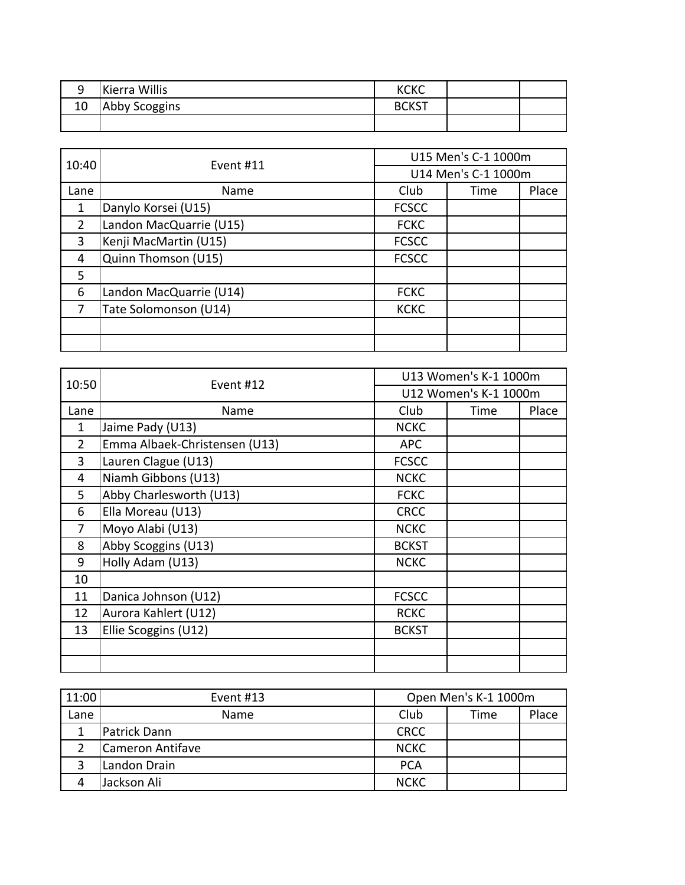|   | Kierra Willis | <b>KCKC</b>  |  |
|---|---------------|--------------|--|
| ᆚ | Abby Scoggins | <b>BCKST</b> |  |
|   |               |              |  |

| 10:40 | Event #11               | U15 Men's C-1 1000m |                     |       |
|-------|-------------------------|---------------------|---------------------|-------|
|       |                         |                     | U14 Men's C-1 1000m |       |
| Lane  | Name                    | Club                | Time                | Place |
| 1     | Danylo Korsei (U15)     | <b>FCSCC</b>        |                     |       |
| 2     | Landon MacQuarrie (U15) | <b>FCKC</b>         |                     |       |
| 3     | Kenji MacMartin (U15)   | <b>FCSCC</b>        |                     |       |
| 4     | Quinn Thomson (U15)     | <b>FCSCC</b>        |                     |       |
| 5     |                         |                     |                     |       |
| 6     | Landon MacQuarrie (U14) | <b>FCKC</b>         |                     |       |
| 7     | Tate Solomonson (U14)   | <b>KCKC</b>         |                     |       |
|       |                         |                     |                     |       |
|       |                         |                     |                     |       |

| 10:50          | Event #12                     | U13 Women's K-1 1000m |                       |       |
|----------------|-------------------------------|-----------------------|-----------------------|-------|
|                |                               |                       | U12 Women's K-1 1000m |       |
| Lane           | Name                          | Club                  | Time                  | Place |
| 1              | Jaime Pady (U13)              | <b>NCKC</b>           |                       |       |
| $\overline{2}$ | Emma Albaek-Christensen (U13) | <b>APC</b>            |                       |       |
| 3              | Lauren Clague (U13)           | <b>FCSCC</b>          |                       |       |
| 4              | Niamh Gibbons (U13)           | <b>NCKC</b>           |                       |       |
| 5              | Abby Charlesworth (U13)       | <b>FCKC</b>           |                       |       |
| 6              | Ella Moreau (U13)             | <b>CRCC</b>           |                       |       |
| 7              | Moyo Alabi (U13)              | <b>NCKC</b>           |                       |       |
| 8              | Abby Scoggins (U13)           | <b>BCKST</b>          |                       |       |
| 9              | Holly Adam (U13)              | <b>NCKC</b>           |                       |       |
| 10             |                               |                       |                       |       |
| 11             | Danica Johnson (U12)          | <b>FCSCC</b>          |                       |       |
| 12             | Aurora Kahlert (U12)          | <b>RCKC</b>           |                       |       |
| 13             | Ellie Scoggins (U12)          | <b>BCKST</b>          |                       |       |
|                |                               |                       |                       |       |
|                |                               |                       |                       |       |

| 11:00 | Event #13        | Open Men's K-1 1000m |      |       |
|-------|------------------|----------------------|------|-------|
| Lane  | Name             | Club                 | Time | Place |
|       | Patrick Dann     | <b>CRCC</b>          |      |       |
|       | Cameron Antifave | <b>NCKC</b>          |      |       |
|       | Landon Drain     | <b>PCA</b>           |      |       |
|       | Jackson Ali      | <b>NCKC</b>          |      |       |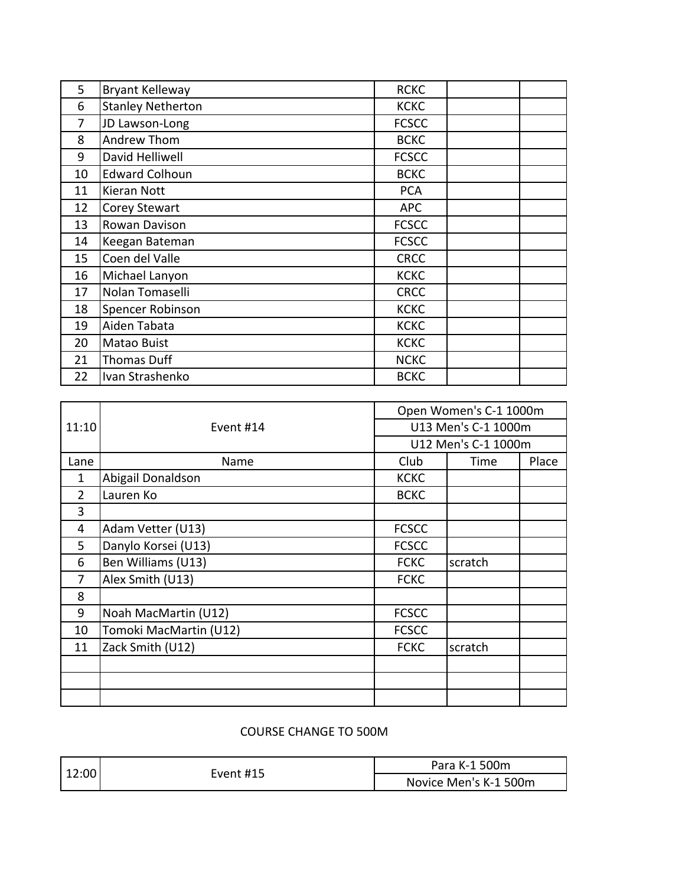| 5  | <b>Bryant Kelleway</b>   | <b>RCKC</b>  |  |
|----|--------------------------|--------------|--|
| 6  | <b>Stanley Netherton</b> | <b>KCKC</b>  |  |
| 7  | JD Lawson-Long           | <b>FCSCC</b> |  |
| 8  | Andrew Thom              | <b>BCKC</b>  |  |
| 9  | David Helliwell          | <b>FCSCC</b> |  |
| 10 | <b>Edward Colhoun</b>    | <b>BCKC</b>  |  |
| 11 | Kieran Nott              | <b>PCA</b>   |  |
| 12 | Corey Stewart            | <b>APC</b>   |  |
| 13 | Rowan Davison            | <b>FCSCC</b> |  |
| 14 | Keegan Bateman           | <b>FCSCC</b> |  |
| 15 | Coen del Valle           | <b>CRCC</b>  |  |
| 16 | Michael Lanyon           | <b>KCKC</b>  |  |
| 17 | Nolan Tomaselli          | <b>CRCC</b>  |  |
| 18 | Spencer Robinson         | <b>KCKC</b>  |  |
| 19 | Aiden Tabata             | <b>KCKC</b>  |  |
| 20 | Matao Buist              | <b>KCKC</b>  |  |
| 21 | <b>Thomas Duff</b>       | <b>NCKC</b>  |  |
| 22 | Ivan Strashenko          | <b>BCKC</b>  |  |

|                |                        | Open Women's C-1 1000m |         |       |  |
|----------------|------------------------|------------------------|---------|-------|--|
| 11:10          | Event #14              | U13 Men's C-1 1000m    |         |       |  |
|                |                        | U12 Men's C-1 1000m    |         |       |  |
| Lane           | Name                   | Club                   | Time    | Place |  |
| $\mathbf{1}$   | Abigail Donaldson      | <b>KCKC</b>            |         |       |  |
| $\overline{2}$ | Lauren Ko              | <b>BCKC</b>            |         |       |  |
| 3              |                        |                        |         |       |  |
| 4              | Adam Vetter (U13)      | <b>FCSCC</b>           |         |       |  |
| 5.             | Danylo Korsei (U13)    | <b>FCSCC</b>           |         |       |  |
| 6              | Ben Williams (U13)     | <b>FCKC</b>            | scratch |       |  |
| 7              | Alex Smith (U13)       | <b>FCKC</b>            |         |       |  |
| 8              |                        |                        |         |       |  |
| 9              | Noah MacMartin (U12)   | <b>FCSCC</b>           |         |       |  |
| 10             | Tomoki MacMartin (U12) | <b>FCSCC</b>           |         |       |  |
| 11             | Zack Smith (U12)       | <b>FCKC</b>            | scratch |       |  |
|                |                        |                        |         |       |  |
|                |                        |                        |         |       |  |
|                |                        |                        |         |       |  |

## COURSE CHANGE TO 500M

|  | 12:00<br>Event #15 | Para K-1 500m         |  |  |
|--|--------------------|-----------------------|--|--|
|  |                    | Novice Men's K-1 500m |  |  |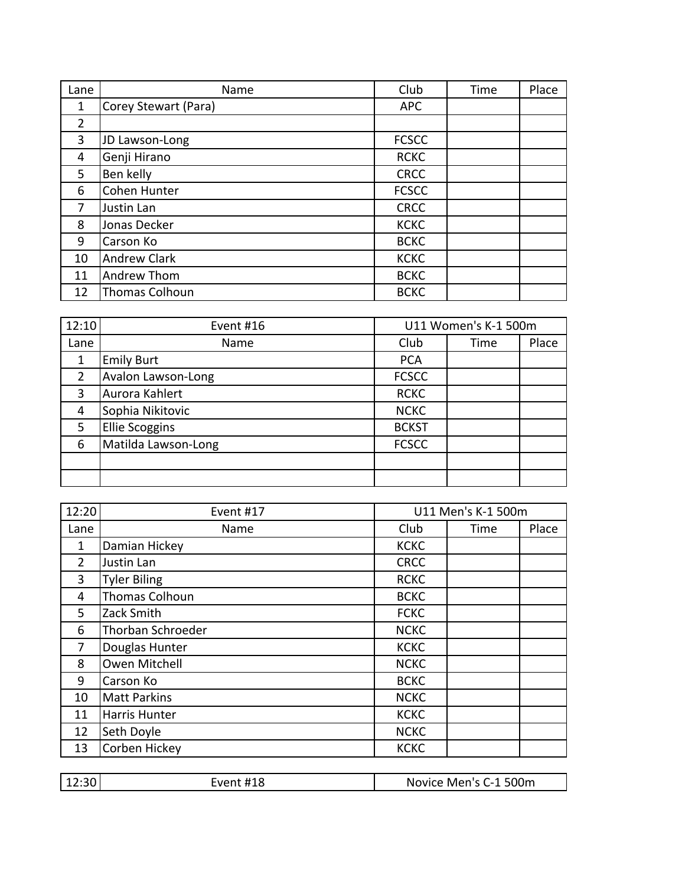| Lane | Name                 | Club         | Time | Place |
|------|----------------------|--------------|------|-------|
| 1    | Corey Stewart (Para) | <b>APC</b>   |      |       |
| 2    |                      |              |      |       |
| 3    | JD Lawson-Long       | <b>FCSCC</b> |      |       |
| 4    | Genji Hirano         | <b>RCKC</b>  |      |       |
| 5.   | Ben kelly            | <b>CRCC</b>  |      |       |
| 6    | Cohen Hunter         | <b>FCSCC</b> |      |       |
| 7    | Justin Lan           | <b>CRCC</b>  |      |       |
| 8    | Jonas Decker         | <b>KCKC</b>  |      |       |
| 9    | Carson Ko            | <b>BCKC</b>  |      |       |
| 10   | <b>Andrew Clark</b>  | <b>KCKC</b>  |      |       |
| 11   | Andrew Thom          | <b>BCKC</b>  |      |       |
| 12   | Thomas Colhoun       | <b>BCKC</b>  |      |       |

| 12:10         | Event #16             | U11 Women's K-1 500m |      |       |
|---------------|-----------------------|----------------------|------|-------|
| Lane          | Name                  | Club                 | Time | Place |
| 1             | <b>Emily Burt</b>     | <b>PCA</b>           |      |       |
| $\mathcal{P}$ | Avalon Lawson-Long    | <b>FCSCC</b>         |      |       |
| 3             | Aurora Kahlert        | <b>RCKC</b>          |      |       |
| 4             | Sophia Nikitovic      | <b>NCKC</b>          |      |       |
| 5             | <b>Ellie Scoggins</b> | <b>BCKST</b>         |      |       |
| 6             | Matilda Lawson-Long   | <b>FCSCC</b>         |      |       |
|               |                       |                      |      |       |
|               |                       |                      |      |       |

| 12:20          | Event #17           | U11 Men's K-1 500m |      |       |
|----------------|---------------------|--------------------|------|-------|
| Lane           | Name                | Club               | Time | Place |
| 1              | Damian Hickey       | <b>KCKC</b>        |      |       |
| $\overline{2}$ | Justin Lan          | <b>CRCC</b>        |      |       |
| $\overline{3}$ | <b>Tyler Biling</b> | <b>RCKC</b>        |      |       |
| 4              | Thomas Colhoun      | <b>BCKC</b>        |      |       |
| 5.             | Zack Smith          | <b>FCKC</b>        |      |       |
| 6              | Thorban Schroeder   | <b>NCKC</b>        |      |       |
| 7              | Douglas Hunter      | <b>KCKC</b>        |      |       |
| 8              | Owen Mitchell       | <b>NCKC</b>        |      |       |
| 9              | Carson Ko           | <b>BCKC</b>        |      |       |
| 10             | <b>Matt Parkins</b> | <b>NCKC</b>        |      |       |
| 11             | Harris Hunter       | <b>KCKC</b>        |      |       |
| 12             | Seth Doyle          | <b>NCKC</b>        |      |       |
| 13             | Corben Hickey       | <b>KCKC</b>        |      |       |

| 12:30  <br>Event #18 | Novice Men's C-1 500m |
|----------------------|-----------------------|
|----------------------|-----------------------|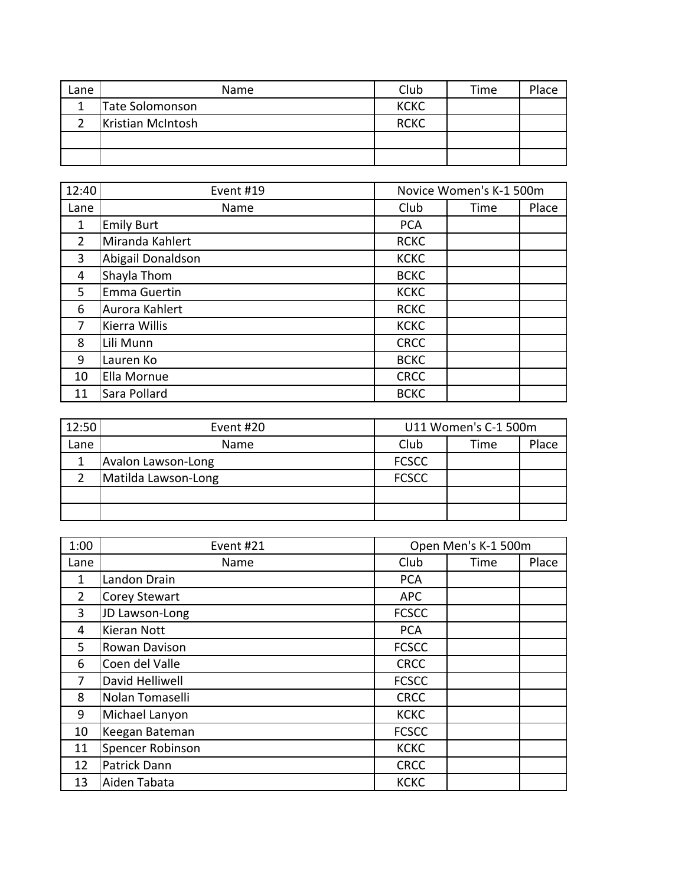| Lane | Name                   | Club        | Time | Place |
|------|------------------------|-------------|------|-------|
|      | <b>Tate Solomonson</b> | <b>KCKC</b> |      |       |
|      | Kristian McIntosh      | <b>RCKC</b> |      |       |
|      |                        |             |      |       |
|      |                        |             |      |       |

| 12:40          | Event #19         | Novice Women's K-1 500m |      |       |
|----------------|-------------------|-------------------------|------|-------|
| Lane           | Name              | Club                    | Time | Place |
| 1              | <b>Emily Burt</b> | <b>PCA</b>              |      |       |
| $\overline{2}$ | Miranda Kahlert   | <b>RCKC</b>             |      |       |
| 3              | Abigail Donaldson | <b>KCKC</b>             |      |       |
| 4              | Shayla Thom       | <b>BCKC</b>             |      |       |
| 5              | Emma Guertin      | <b>KCKC</b>             |      |       |
| 6              | Aurora Kahlert    | <b>RCKC</b>             |      |       |
| 7              | Kierra Willis     | <b>KCKC</b>             |      |       |
| 8              | Lili Munn         | <b>CRCC</b>             |      |       |
| 9              | Lauren Ko         | <b>BCKC</b>             |      |       |
| 10             | Ella Mornue       | <b>CRCC</b>             |      |       |
| 11             | Sara Pollard      | <b>BCKC</b>             |      |       |

| 12:50 | Event #20           | U11 Women's C-1 500m |      |       |
|-------|---------------------|----------------------|------|-------|
| Lane  | Name                | Club                 | Time | Place |
|       | Avalon Lawson-Long  | <b>FCSCC</b>         |      |       |
|       | Matilda Lawson-Long | <b>FCSCC</b>         |      |       |
|       |                     |                      |      |       |
|       |                     |                      |      |       |

| 1:00           | Event #21            | Open Men's K-1 500m |      |       |
|----------------|----------------------|---------------------|------|-------|
| Lane           | Name                 | Club                | Time | Place |
| $\mathbf{1}$   | Landon Drain         | <b>PCA</b>          |      |       |
| $\overline{2}$ | <b>Corey Stewart</b> | <b>APC</b>          |      |       |
| 3              | JD Lawson-Long       | <b>FCSCC</b>        |      |       |
| 4              | Kieran Nott          | <b>PCA</b>          |      |       |
| 5              | Rowan Davison        | <b>FCSCC</b>        |      |       |
| 6              | Coen del Valle       | <b>CRCC</b>         |      |       |
| 7              | David Helliwell      | <b>FCSCC</b>        |      |       |
| 8              | Nolan Tomaselli      | <b>CRCC</b>         |      |       |
| 9              | Michael Lanyon       | <b>KCKC</b>         |      |       |
| 10             | Keegan Bateman       | <b>FCSCC</b>        |      |       |
| 11             | Spencer Robinson     | <b>KCKC</b>         |      |       |
| 12             | Patrick Dann         | <b>CRCC</b>         |      |       |
| 13             | Aiden Tabata         | <b>KCKC</b>         |      |       |